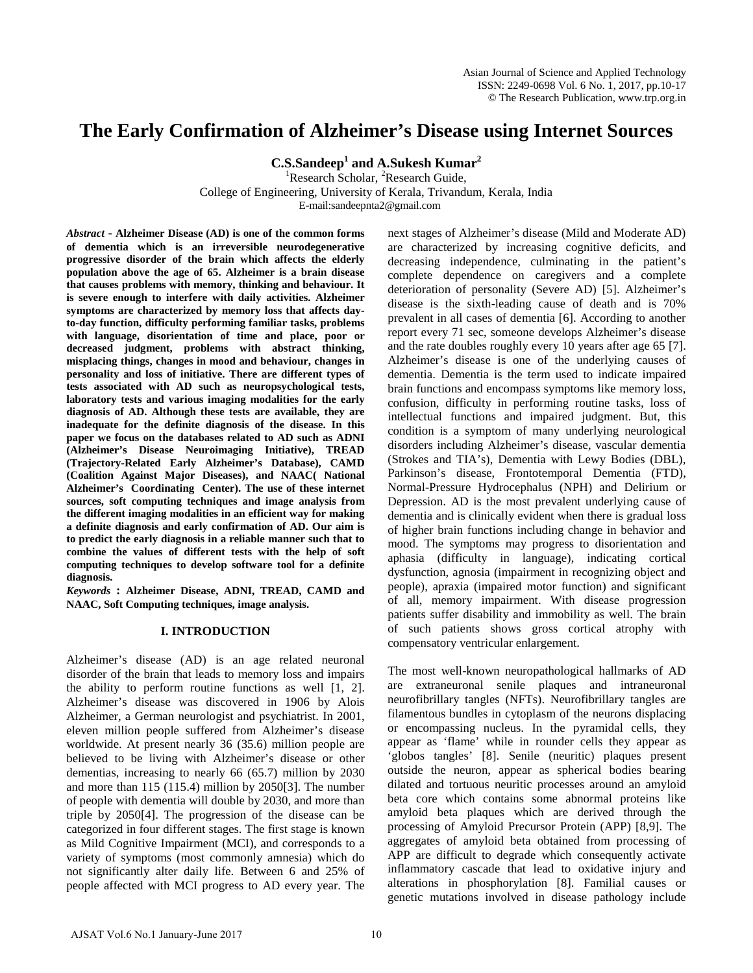# **The Early Confirmation of Alzheimer's Disease using Internet Sources**

**C.S.Sandeep1 and A.Sukesh Kumar2** 

<sup>1</sup>Research Scholar, <sup>2</sup>Research Guide,

College of Engineering, University of Kerala, Trivandum, Kerala, India

E-mail:sandeepnta2@gmail.com

*Abstract* **- Alzheimer Disease (AD) is one of the common forms of dementia which is an irreversible neurodegenerative progressive disorder of the brain which affects the elderly population above the age of 65. Alzheimer is a brain disease that causes problems with memory, thinking and behaviour. It is severe enough to interfere with daily activities. Alzheimer symptoms are characterized by memory loss that affects dayto-day function, difficulty performing familiar tasks, problems with language, disorientation of time and place, poor or decreased judgment, problems with abstract thinking, misplacing things, changes in mood and behaviour, changes in personality and loss of initiative. There are different types of tests associated with AD such as neuropsychological tests, laboratory tests and various imaging modalities for the early diagnosis of AD. Although these tests are available, they are inadequate for the definite diagnosis of the disease. In this paper we focus on the databases related to AD such as ADNI (Alzheimer's Disease Neuroimaging Initiative), TREAD (Trajectory-Related Early Alzheimer's Database), CAMD (Coalition Against Major Diseases), and NAAC( National Alzheimer's Coordinating Center). The use of these internet sources, soft computing techniques and image analysis from the different imaging modalities in an efficient way for making a definite diagnosis and early confirmation of AD. Our aim is to predict the early diagnosis in a reliable manner such that to combine the values of different tests with the help of soft computing techniques to develop software tool for a definite diagnosis.** 

*Keywords* **: Alzheimer Disease, ADNI, TREAD, CAMD and NAAC, Soft Computing techniques, image analysis.**

## **I. INTRODUCTION**

Alzheimer's disease (AD) is an age related neuronal disorder of the brain that leads to memory loss and impairs the ability to perform routine functions as well [1, 2]. Alzheimer's disease was discovered in 1906 by Alois Alzheimer, a German neurologist and psychiatrist. In 2001, eleven million people suffered from Alzheimer's disease worldwide. At present nearly 36 (35.6) million people are believed to be living with Alzheimer's disease or other dementias, increasing to nearly 66 (65.7) million by 2030 and more than 115 (115.4) million by 2050[3]. The number of people with dementia will double by 2030, and more than triple by 2050[4]. The progression of the disease can be categorized in four different stages. The first stage is known as Mild Cognitive Impairment (MCI), and corresponds to a variety of symptoms (most commonly amnesia) which do not significantly alter daily life. Between 6 and 25% of people affected with MCI progress to AD every year. The next stages of Alzheimer's disease (Mild and Moderate AD) are characterized by increasing cognitive deficits, and decreasing independence, culminating in the patient's complete dependence on caregivers and a complete deterioration of personality (Severe AD) [5]. Alzheimer's disease is the sixth-leading cause of death and is 70% prevalent in all cases of dementia [6]. According to another report every 71 sec, someone develops Alzheimer's disease and the rate doubles roughly every 10 years after age 65 [7]. Alzheimer's disease is one of the underlying causes of dementia. Dementia is the term used to indicate impaired brain functions and encompass symptoms like memory loss, confusion, difficulty in performing routine tasks, loss of intellectual functions and impaired judgment. But, this condition is a symptom of many underlying neurological disorders including Alzheimer's disease, vascular dementia (Strokes and TIA's), Dementia with Lewy Bodies (DBL), Parkinson's disease, Frontotemporal Dementia (FTD), Normal-Pressure Hydrocephalus (NPH) and Delirium or Depression. AD is the most prevalent underlying cause of dementia and is clinically evident when there is gradual loss of higher brain functions including change in behavior and mood. The symptoms may progress to disorientation and aphasia (difficulty in language), indicating cortical dysfunction, agnosia (impairment in recognizing object and people), apraxia (impaired motor function) and significant of all, memory impairment. With disease progression patients suffer disability and immobility as well. The brain of such patients shows gross cortical atrophy with compensatory ventricular enlargement.

The most well-known neuropathological hallmarks of AD are extraneuronal senile plaques and intraneuronal neurofibrillary tangles (NFTs). Neurofibrillary tangles are filamentous bundles in cytoplasm of the neurons displacing or encompassing nucleus. In the pyramidal cells, they appear as 'flame' while in rounder cells they appear as 'globos tangles' [8]. Senile (neuritic) plaques present outside the neuron, appear as spherical bodies bearing dilated and tortuous neuritic processes around an amyloid beta core which contains some abnormal proteins like amyloid beta plaques which are derived through the processing of Amyloid Precursor Protein (APP) [8,9]. The aggregates of amyloid beta obtained from processing of APP are difficult to degrade which consequently activate inflammatory cascade that lead to oxidative injury and alterations in phosphorylation [8]. Familial causes or genetic mutations involved in disease pathology include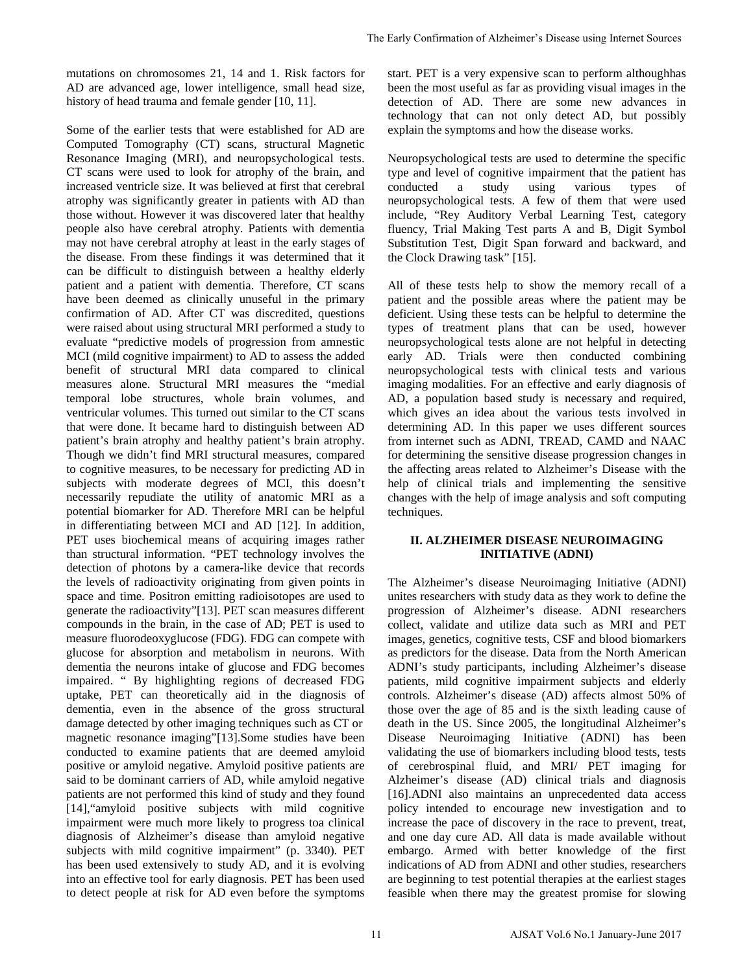mutations on chromosomes 21, 14 and 1. Risk factors for AD are advanced age, lower intelligence, small head size, history of head trauma and female gender [10, 11].

Some of the earlier tests that were established for AD are Computed Tomography (CT) scans, structural Magnetic Resonance Imaging (MRI), and neuropsychological tests. CT scans were used to look for atrophy of the brain, and increased ventricle size. It was believed at first that cerebral atrophy was significantly greater in patients with AD than those without. However it was discovered later that healthy people also have cerebral atrophy. Patients with dementia may not have cerebral atrophy at least in the early stages of the disease. From these findings it was determined that it can be difficult to distinguish between a healthy elderly patient and a patient with dementia. Therefore, CT scans have been deemed as clinically unuseful in the primary confirmation of AD. After CT was discredited, questions were raised about using structural MRI performed a study to evaluate "predictive models of progression from amnestic MCI (mild cognitive impairment) to AD to assess the added benefit of structural MRI data compared to clinical measures alone. Structural MRI measures the "medial temporal lobe structures, whole brain volumes, and ventricular volumes. This turned out similar to the CT scans that were done. It became hard to distinguish between AD patient's brain atrophy and healthy patient's brain atrophy. Though we didn't find MRI structural measures, compared to cognitive measures, to be necessary for predicting AD in subjects with moderate degrees of MCI, this doesn't necessarily repudiate the utility of anatomic MRI as a potential biomarker for AD. Therefore MRI can be helpful in differentiating between MCI and AD [12]. In addition, PET uses biochemical means of acquiring images rather than structural information. "PET technology involves the detection of photons by a camera-like device that records the levels of radioactivity originating from given points in space and time. Positron emitting radioisotopes are used to generate the radioactivity"[13]. PET scan measures different compounds in the brain, in the case of AD; PET is used to measure fluorodeoxyglucose (FDG). FDG can compete with glucose for absorption and metabolism in neurons. With dementia the neurons intake of glucose and FDG becomes impaired. " By highlighting regions of decreased FDG uptake, PET can theoretically aid in the diagnosis of dementia, even in the absence of the gross structural damage detected by other imaging techniques such as CT or magnetic resonance imaging"[13].Some studies have been conducted to examine patients that are deemed amyloid positive or amyloid negative. Amyloid positive patients are said to be dominant carriers of AD, while amyloid negative patients are not performed this kind of study and they found [14],"amyloid positive subjects with mild cognitive impairment were much more likely to progress toa clinical diagnosis of Alzheimer's disease than amyloid negative subjects with mild cognitive impairment" (p. 3340). PET has been used extensively to study AD, and it is evolving into an effective tool for early diagnosis. PET has been used to detect people at risk for AD even before the symptoms

start. PET is a very expensive scan to perform althoughhas been the most useful as far as providing visual images in the detection of AD. There are some new advances in technology that can not only detect AD, but possibly explain the symptoms and how the disease works.

Neuropsychological tests are used to determine the specific type and level of cognitive impairment that the patient has conducted a study using various types of neuropsychological tests. A few of them that were used include, "Rey Auditory Verbal Learning Test, category fluency, Trial Making Test parts A and B, Digit Symbol Substitution Test, Digit Span forward and backward, and the Clock Drawing task" [15].

All of these tests help to show the memory recall of a patient and the possible areas where the patient may be deficient. Using these tests can be helpful to determine the types of treatment plans that can be used, however neuropsychological tests alone are not helpful in detecting early AD. Trials were then conducted combining neuropsychological tests with clinical tests and various imaging modalities. For an effective and early diagnosis of AD, a population based study is necessary and required, which gives an idea about the various tests involved in determining AD. In this paper we uses different sources from internet such as ADNI, TREAD, CAMD and NAAC for determining the sensitive disease progression changes in the affecting areas related to Alzheimer's Disease with the help of clinical trials and implementing the sensitive changes with the help of image analysis and soft computing techniques.

### **II. ALZHEIMER DISEASE NEUROIMAGING INITIATIVE (ADNI)**

The Alzheimer's disease Neuroimaging Initiative (ADNI) unites researchers with study data as they work to define the progression of Alzheimer's disease. ADNI researchers collect, validate and utilize data such as MRI and PET images, genetics, cognitive tests, CSF and blood biomarkers as predictors for the disease. Data from the North American ADNI's study participants, including Alzheimer's disease patients, mild cognitive impairment subjects and elderly controls. Alzheimer's disease (AD) affects almost 50% of those over the age of 85 and is the sixth leading cause of death in the US. Since 2005, the longitudinal Alzheimer's Disease Neuroimaging Initiative (ADNI) has been validating the use of biomarkers including blood tests, tests of cerebrospinal fluid, and MRI/ PET imaging for Alzheimer's disease (AD) clinical trials and diagnosis [16].ADNI also maintains an unprecedented data access policy intended to encourage new investigation and to increase the pace of discovery in the race to prevent, treat, and one day cure AD. All data is made available without embargo. Armed with better knowledge of the first indications of AD from ADNI and other studies, researchers are beginning to test potential therapies at the earliest stages feasible when there may the greatest promise for slowing The Early Confirmation of Alzheimer's Disease using Internet Sources<br>
start. PET is a very expensive scan to perform although<br>the chection of AD. There are some new advances in<br>
techningy that can not only detect AD, but p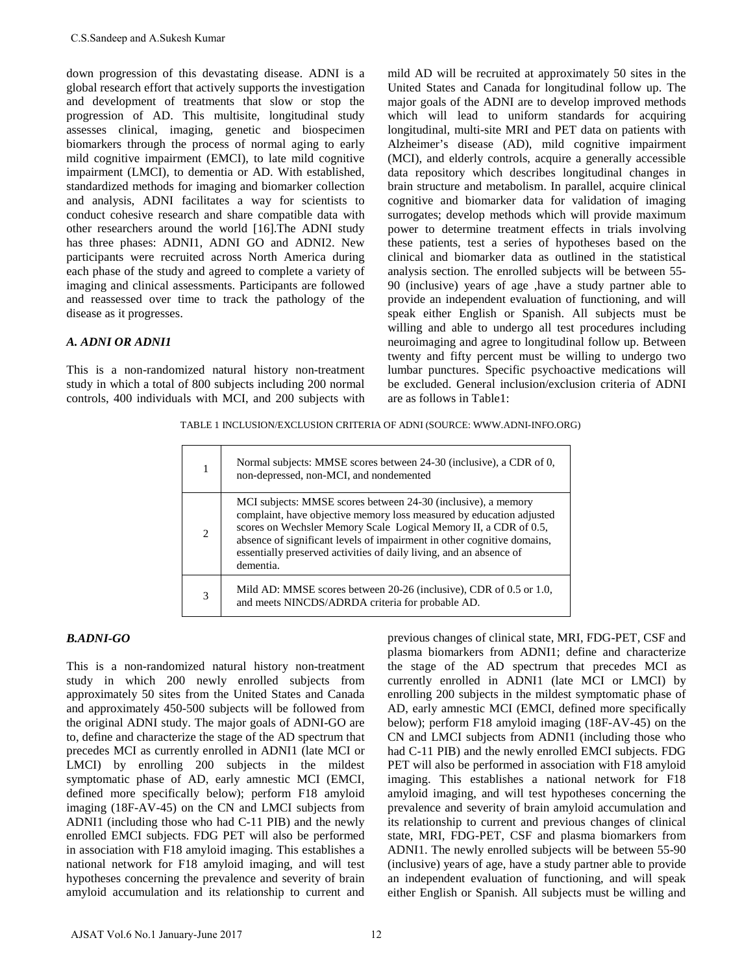down progression of this devastating disease. ADNI is a global research effort that actively supports the investigation and development of treatments that slow or stop the progression of AD. This multisite, longitudinal study assesses clinical, imaging, genetic and biospecimen biomarkers through the process of normal aging to early mild cognitive impairment (EMCI), to late mild cognitive impairment (LMCI), to dementia or AD. With established, standardized methods for imaging and biomarker collection and analysis, ADNI facilitates a way for scientists to conduct cohesive research and share compatible data with other researchers around the world [16].The ADNI study has three phases: ADNI1, ADNI GO and ADNI2. New participants were recruited across North America during each phase of the study and agreed to complete a variety of imaging and clinical assessments. Participants are followed and reassessed over time to track the pathology of the disease as it progresses. CS. Sandeep and A. Sukesh Kumar<br>
doobal progression of this deveaturing disease. ADNI is a doobal progression of this deveature<br>
doobal resonance for the analytical varyors the investigation<br>
doobal resonance for the mate

### *A. ADNI OR ADNI1*

This is a non-randomized natural history non-treatment study in which a total of 800 subjects including 200 normal controls, 400 individuals with MCI, and 200 subjects with mild AD will be recruited at approximately 50 sites in the United States and Canada for longitudinal follow up. The major goals of the ADNI are to develop improved methods which will lead to uniform standards for acquiring longitudinal, multi-site MRI and PET data on patients with Alzheimer's disease (AD), mild cognitive impairment (MCI), and elderly controls, acquire a generally accessible data repository which describes longitudinal changes in brain structure and metabolism. In parallel, acquire clinical cognitive and biomarker data for validation of imaging surrogates; develop methods which will provide maximum power to determine treatment effects in trials involving these patients, test a series of hypotheses based on the clinical and biomarker data as outlined in the statistical analysis section. The enrolled subjects will be between 55- 90 (inclusive) years of age ,have a study partner able to provide an independent evaluation of functioning, and will speak either English or Spanish. All subjects must be willing and able to undergo all test procedures including neuroimaging and agree to longitudinal follow up. Between twenty and fifty percent must be willing to undergo two lumbar punctures. Specific psychoactive medications will be excluded. General inclusion/exclusion criteria of ADNI are as follows in Table1:

TABLE 1 INCLUSION/EXCLUSION CRITERIA OF ADNI (SOURCE: [WWW.ADNI-INFO.ORG\)](http://www.adni-info.org/)

|                | Normal subjects: MMSE scores between 24-30 (inclusive), a CDR of 0,<br>non-depressed, non-MCI, and nondemented                                                                                                                                                                                                                                                           |
|----------------|--------------------------------------------------------------------------------------------------------------------------------------------------------------------------------------------------------------------------------------------------------------------------------------------------------------------------------------------------------------------------|
| $\overline{c}$ | MCI subjects: MMSE scores between 24-30 (inclusive), a memory<br>complaint, have objective memory loss measured by education adjusted<br>scores on Wechsler Memory Scale Logical Memory II, a CDR of 0.5,<br>absence of significant levels of impairment in other cognitive domains,<br>essentially preserved activities of daily living, and an absence of<br>dementia. |
| 3              | Mild AD: MMSE scores between $20-26$ (inclusive), CDR of 0.5 or 1.0,<br>and meets NINCDS/ADRDA criteria for probable AD.                                                                                                                                                                                                                                                 |

#### *B.ADNI-GO*

This is a non-randomized natural history non-treatment study in which 200 newly enrolled subjects from approximately 50 sites from the United States and Canada and approximately 450-500 subjects will be followed from the original ADNI study. The major goals of ADNI-GO are to, define and characterize the stage of the AD spectrum that precedes MCI as currently enrolled in ADNI1 (late MCI or LMCI) by enrolling 200 subjects in the mildest symptomatic phase of AD, early amnestic MCI (EMCI, defined more specifically below); perform F18 amyloid imaging (18F-AV-45) on the CN and LMCI subjects from ADNI1 (including those who had C-11 PIB) and the newly enrolled EMCI subjects. FDG PET will also be performed in association with F18 amyloid imaging. This establishes a national network for F18 amyloid imaging, and will test hypotheses concerning the prevalence and severity of brain amyloid accumulation and its relationship to current and

previous changes of clinical state, MRI, FDG-PET, CSF and plasma biomarkers from ADNI1; define and characterize the stage of the AD spectrum that precedes MCI as currently enrolled in ADNI1 (late MCI or LMCI) by enrolling 200 subjects in the mildest symptomatic phase of AD, early amnestic MCI (EMCI, defined more specifically below); perform F18 amyloid imaging (18F-AV-45) on the CN and LMCI subjects from ADNI1 (including those who had C-11 PIB) and the newly enrolled EMCI subjects. FDG PET will also be performed in association with F18 amyloid imaging. This establishes a national network for F18 amyloid imaging, and will test hypotheses concerning the prevalence and severity of brain amyloid accumulation and its relationship to current and previous changes of clinical state, MRI, FDG-PET, CSF and plasma biomarkers from ADNI1. The newly enrolled subjects will be between 55-90 (inclusive) years of age, have a study partner able to provide an independent evaluation of functioning, and will speak either English or Spanish. All subjects must be willing and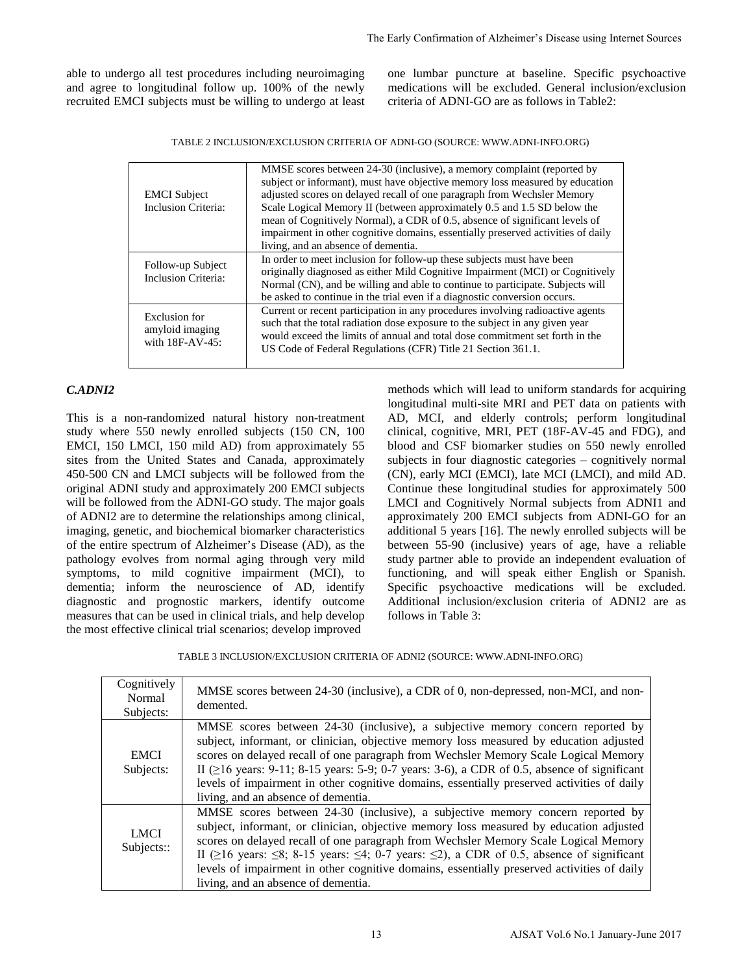able to undergo all test procedures including neuroimaging and agree to longitudinal follow up. 100% of the newly recruited EMCI subjects must be willing to undergo at least one lumbar puncture at baseline. Specific psychoactive medications will be excluded. General inclusion/exclusion criteria of ADNI-GO are as follows in Table2:

TABLE 2 INCLUSION/EXCLUSION CRITERIA OF ADNI-GO (SOURCE: [WWW.ADNI-INFO.ORG\)](http://www.adni-info.org/)

| <b>EMCI</b> Subject<br><b>Inclusion Criteria:</b>   | MMSE scores between 24-30 (inclusive), a memory complaint (reported by<br>subject or informant), must have objective memory loss measured by education<br>adjusted scores on delayed recall of one paragraph from Wechsler Memory<br>Scale Logical Memory II (between approximately 0.5 and 1.5 SD below the<br>mean of Cognitively Normal), a CDR of 0.5, absence of significant levels of<br>impairment in other cognitive domains, essentially preserved activities of daily<br>living, and an absence of dementia. |  |  |  |  |  |
|-----------------------------------------------------|------------------------------------------------------------------------------------------------------------------------------------------------------------------------------------------------------------------------------------------------------------------------------------------------------------------------------------------------------------------------------------------------------------------------------------------------------------------------------------------------------------------------|--|--|--|--|--|
| Follow-up Subject<br><b>Inclusion Criteria:</b>     | In order to meet inclusion for follow-up these subjects must have been<br>originally diagnosed as either Mild Cognitive Impairment (MCI) or Cognitively<br>Normal (CN), and be willing and able to continue to participate. Subjects will<br>be asked to continue in the trial even if a diagnostic conversion occurs.                                                                                                                                                                                                 |  |  |  |  |  |
| Exclusion for<br>amyloid imaging<br>with 18F-AV-45: | Current or recent participation in any procedures involving radioactive agents<br>such that the total radiation dose exposure to the subject in any given year<br>would exceed the limits of annual and total dose commitment set forth in the<br>US Code of Federal Regulations (CFR) Title 21 Section 361.1.                                                                                                                                                                                                         |  |  |  |  |  |

### *C.ADNI2*

This is a non-randomized natural history non-treatment study where 550 newly enrolled subjects (150 CN, 100 EMCI, 150 LMCI, 150 mild AD) from approximately 55 sites from the United States and Canada, approximately 450-500 CN and LMCI subjects will be followed from the original ADNI study and approximately 200 EMCI subjects will be followed from the ADNI-GO study. The major goals of ADNI2 are to determine the relationships among clinical, imaging, genetic, and biochemical biomarker characteristics of the entire spectrum of Alzheimer's Disease (AD), as the pathology evolves from normal aging through very mild symptoms, to mild cognitive impairment (MCI), to dementia; inform the neuroscience of AD, identify diagnostic and prognostic markers, identify outcome measures that can be used in clinical trials, and help develop the most effective clinical trial scenarios; develop improved

methods which will lead to uniform standards for acquiring longitudinal multi-site MRI and PET data on patients with AD, MCI, and elderly controls; perform longitudinal clinical, cognitive, MRI, PET (18F-AV-45 and FDG), and blood and CSF biomarker studies on 550 newly enrolled subjects in four diagnostic categories – cognitively normal (CN), early MCI (EMCI), late MCI (LMCI), and mild AD. Continue these longitudinal studies for approximately 500 LMCI and Cognitively Normal subjects from ADNI1 and approximately 200 EMCI subjects from ADNI-GO for an additional 5 years [16]. The newly enrolled subjects will be between 55-90 (inclusive) years of age, have a reliable study partner able to provide an independent evaluation of functioning, and will speak either English or Spanish. Specific psychoactive medications will be excluded. Additional inclusion/exclusion criteria of ADNI2 are as follows in Table 3: The Farly Confirmation of Alzheimer's Disease using Internet Sources<br>
one Innbur puncture at baseline. Specific psychonetive<br>
medications will be useduable. General infinite-schein<br>
credition of ADNI-GO arc as follows in T

TABLE 3 INCLUSION/EXCLUSION CRITERIA OF ADNI2 (SOURCE: [WWW.ADNI-INFO.ORG\)](http://www.adni-info.org/)

| Cognitively<br>Normal<br>Subjects: | MMSE scores between 24-30 (inclusive), a CDR of 0, non-depressed, non-MCI, and non-<br>demented.                                                                                                                                                                                                                                                                                                                                                                                                                         |
|------------------------------------|--------------------------------------------------------------------------------------------------------------------------------------------------------------------------------------------------------------------------------------------------------------------------------------------------------------------------------------------------------------------------------------------------------------------------------------------------------------------------------------------------------------------------|
| <b>EMCI</b><br>Subjects:           | MMSE scores between 24-30 (inclusive), a subjective memory concern reported by<br>subject, informant, or clinician, objective memory loss measured by education adjusted<br>scores on delayed recall of one paragraph from Wechsler Memory Scale Logical Memory<br>II ( $\geq$ 16 years: 9-11; 8-15 years: 5-9; 0-7 years: 3-6), a CDR of 0.5, absence of significant<br>levels of impairment in other cognitive domains, essentially preserved activities of daily<br>living, and an absence of dementia.               |
| <b>LMCI</b><br>Subjects::          | MMSE scores between 24-30 (inclusive), a subjective memory concern reported by<br>subject, informant, or clinician, objective memory loss measured by education adjusted<br>scores on delayed recall of one paragraph from Wechsler Memory Scale Logical Memory<br>II ( $\geq$ 16 years: $\leq$ 8; 8-15 years: $\leq$ 4; 0-7 years: $\leq$ 2), a CDR of 0.5, absence of significant<br>levels of impairment in other cognitive domains, essentially preserved activities of daily<br>living, and an absence of dementia. |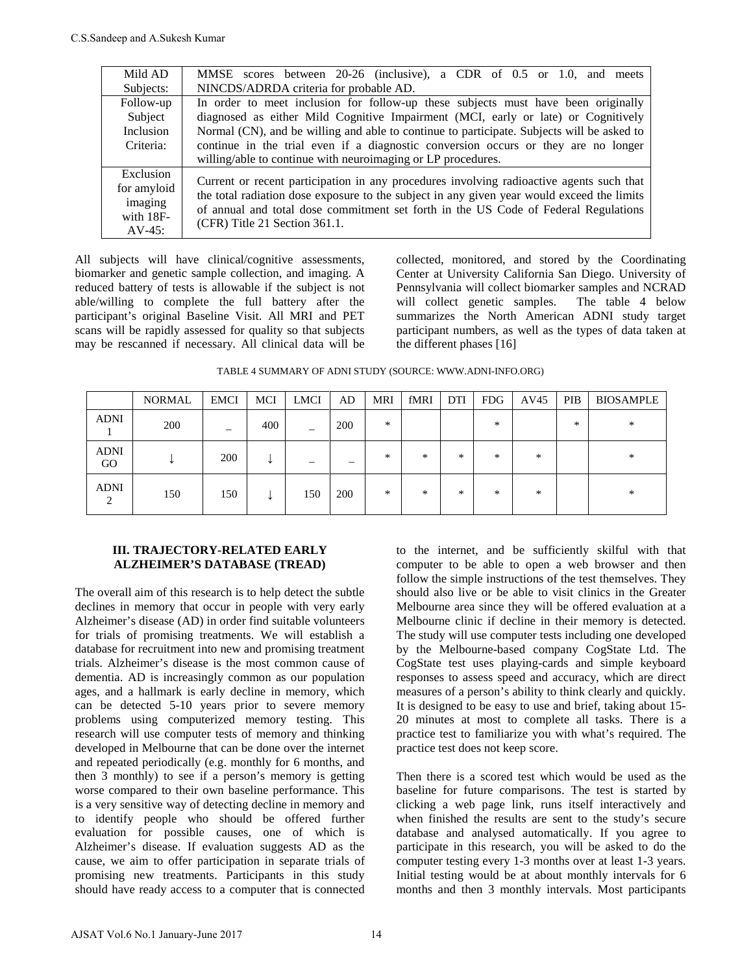| Mild AD                                                         | MMSE scores between 20-26 (inclusive), a CDR of 0.5 or 1.0, and meets                                                                                                                                                                                                                                          |  |  |  |  |  |  |  |
|-----------------------------------------------------------------|----------------------------------------------------------------------------------------------------------------------------------------------------------------------------------------------------------------------------------------------------------------------------------------------------------------|--|--|--|--|--|--|--|
| Subjects:                                                       | NINCDS/ADRDA criteria for probable AD.                                                                                                                                                                                                                                                                         |  |  |  |  |  |  |  |
| Follow-up                                                       | In order to meet inclusion for follow-up these subjects must have been originally                                                                                                                                                                                                                              |  |  |  |  |  |  |  |
| Subject                                                         | diagnosed as either Mild Cognitive Impairment (MCI, early or late) or Cognitively                                                                                                                                                                                                                              |  |  |  |  |  |  |  |
| Inclusion                                                       | Normal (CN), and be willing and able to continue to participate. Subjects will be asked to                                                                                                                                                                                                                     |  |  |  |  |  |  |  |
| Criteria:                                                       | continue in the trial even if a diagnostic conversion occurs or they are no longer                                                                                                                                                                                                                             |  |  |  |  |  |  |  |
|                                                                 | willing/able to continue with neuroimaging or LP procedures.                                                                                                                                                                                                                                                   |  |  |  |  |  |  |  |
| Exclusion<br>for amyloid<br>imaging<br>with $18F-$<br>$AV-45$ : | Current or recent participation in any procedures involving radioactive agents such that<br>the total radiation dose exposure to the subject in any given year would exceed the limits<br>of annual and total dose commitment set forth in the US Code of Federal Regulations<br>(CFR) Title 21 Section 361.1. |  |  |  |  |  |  |  |

All subjects will have clinical/cognitive assessments, biomarker and genetic sample collection, and imaging. A reduced battery of tests is allowable if the subject is not able/willing to complete the full battery after the participant's original Baseline Visit. All MRI and PET scans will be rapidly assessed for quality so that subjects may be rescanned if necessary. All clinical data will be collected, monitored, and stored by the Coordinating Center at University California San Diego. University of Pennsylvania will collect biomarker samples and NCRAD will collect genetic samples. The table 4 below summarizes the North American ADNI study target participant numbers, as well as the types of data taken at the different phases [16]

|                               | <b>NORMAL</b> | <b>EMCI</b>              | MCI | <b>LMCI</b> | AD  | <b>MRI</b> | fMRI   | DTI    | <b>FDG</b> | AV45   | PIB | <b>BIOSAMPLE</b> |
|-------------------------------|---------------|--------------------------|-----|-------------|-----|------------|--------|--------|------------|--------|-----|------------------|
| <b>ADNI</b>                   | 200           | $\overline{\phantom{0}}$ | 400 | —           | 200 | *          |        |        | $\ast$     |        | $*$ | $\ast$           |
| <b>ADNI</b><br>GO             |               | 200                      | ↵   |             |     | $\ast$     | *      | $\ast$ | $*$        | *      |     | *                |
| <b>ADNI</b><br>$\mathfrak{D}$ | 150           | 150                      | ┶   | 150         | 200 | $\ast$     | $\ast$ | *      | $\ast$     | $\ast$ |     | *                |

TABLE 4 SUMMARY OF ADNI STUDY (SOURCE: [WWW.ADNI-INFO.ORG\)](http://www.adni-info.org/)

#### **III. TRAJECTORY-RELATED EARLY ALZHEIMER'S DATABASE (TREAD)**

The overall aim of this research is to help detect the subtle declines in memory that occur in people with very early Alzheimer's disease (AD) in order find suitable volunteers for trials of promising treatments. We will establish a database for recruitment into new and promising treatment trials. Alzheimer's disease is the most common cause of dementia. AD is increasingly common as our population ages, and a hallmark is early decline in memory, which can be detected 5-10 years prior to severe memory problems using computerized memory testing. This research will use computer tests of memory and thinking developed in Melbourne that can be done over the internet and repeated periodically (e.g. monthly for 6 months, and then 3 monthly) to see if a person's memory is getting worse compared to their own baseline performance. This is a very sensitive way of detecting decline in memory and to identify people who should be offered further evaluation for possible causes, one of which is Alzheimer's disease. If evaluation suggests AD as the cause, we aim to offer participation in separate trials of promising new treatments. Participants in this study should have ready access to a computer that is connected CS Sandeep and A.Sukesh Kumar<br>
Milli AD<br>
MINCOS/ADRDA criteria for probability<br>
Subjects<br>
The other area inclusions for the most inclusion for the most inclusion of the most inclusion of the most inclusion<br>
Subjects<br>
Chan

to the internet, and be sufficiently skilful with that computer to be able to open a web browser and then follow the simple instructions of the test themselves. They should also live or be able to visit clinics in the Greater Melbourne area since they will be offered evaluation at a Melbourne clinic if decline in their memory is detected. The study will use computer tests including one developed by the Melbourne-based company CogState Ltd. The CogState test uses playing-cards and simple keyboard responses to assess speed and accuracy, which are direct measures of a person's ability to think clearly and quickly. It is designed to be easy to use and brief, taking about 15- 20 minutes at most to complete all tasks. There is a practice test to familiarize you with what's required. The practice test does not keep score.

Then there is a scored test which would be used as the baseline for future comparisons. The test is started by clicking a web page link, runs itself interactively and when finished the results are sent to the study's secure database and analysed automatically. If you agree to participate in this research, you will be asked to do the computer testing every 1-3 months over at least 1-3 years. Initial testing would be at about monthly intervals for 6 months and then 3 monthly intervals. Most participants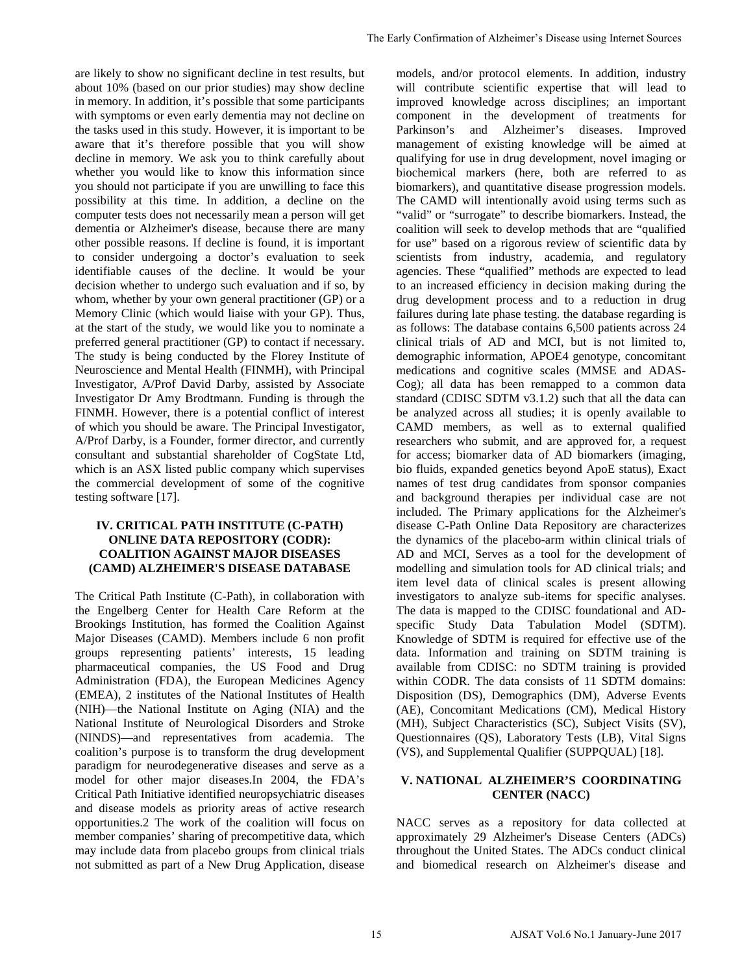are likely to show no significant decline in test results, but about 10% (based on our prior studies) may show decline in memory. In addition, it's possible that some participants with symptoms or even early dementia may not decline on the tasks used in this study. However, it is important to be aware that it's therefore possible that you will show decline in memory. We ask you to think carefully about whether you would like to know this information since you should not participate if you are unwilling to face this possibility at this time. In addition, a decline on the computer tests does not necessarily mean a person will get dementia or Alzheimer's disease, because there are many other possible reasons. If decline is found, it is important to consider undergoing a doctor's evaluation to seek identifiable causes of the decline. It would be your decision whether to undergo such evaluation and if so, by whom, whether by your own general practitioner (GP) or a Memory Clinic (which would liaise with your GP). Thus, at the start of the study, we would like you to nominate a preferred general practitioner (GP) to contact if necessary. The study is being conducted by the Florey Institute of Neuroscience and Mental Health (FINMH), with Principal Investigator, A/Prof David Darby, assisted by Associate Investigator Dr Amy Brodtmann. Funding is through the FINMH. However, there is a potential conflict of interest of which you should be aware. The Principal Investigator, A/Prof Darby, is a Founder, former director, and currently consultant and substantial shareholder of CogState Ltd, which is an ASX listed public company which supervises the commercial development of some of the cognitive testing software [17].

### **IV. CRITICAL PATH INSTITUTE (C-PATH) ONLINE DATA REPOSITORY (CODR): COALITION AGAINST MAJOR DISEASES (CAMD) ALZHEIMER'S DISEASE DATABASE**

The Critical Path Institute (C-Path), in collaboration with the Engelberg Center for Health Care Reform at the Brookings Institution, has formed the Coalition Against Major Diseases (CAMD). Members include 6 non profit groups representing patients' interests, 15 leading pharmaceutical companies, the US Food and Drug Administration (FDA), the European Medicines Agency (EMEA), 2 institutes of the National Institutes of Health (NIH)—the National Institute on Aging (NIA) and the National Institute of Neurological Disorders and Stroke (NINDS)—and representatives from academia. The coalition's purpose is to transform the drug development paradigm for neurodegenerative diseases and serve as a model for other major diseases.In 2004, the FDA's Critical Path Initiative identified neuropsychiatric diseases and disease models as priority areas of active research opportunities.2 The work of the coalition will focus on member companies' sharing of precompetitive data, which may include data from placebo groups from clinical trials not submitted as part of a New Drug Application, disease

models, and/or protocol elements. In addition, industry will contribute scientific expertise that will lead to improved knowledge across disciplines; an important component in the development of treatments for Parkinson's and Alzheimer's diseases. Improved management of existing knowledge will be aimed at qualifying for use in drug development, novel imaging or biochemical markers (here, both are referred to as biomarkers), and quantitative disease progression models. The CAMD will intentionally avoid using terms such as "valid" or "surrogate" to describe biomarkers. Instead, the coalition will seek to develop methods that are "qualified for use" based on a rigorous review of scientific data by scientists from industry, academia, and regulatory agencies. These "qualified" methods are expected to lead to an increased efficiency in decision making during the drug development process and to a reduction in drug failures during late phase testing. the database regarding is as follows: The database contains 6,500 patients across 24 clinical trials of AD and MCI, but is not limited to, demographic information, APOE4 genotype, concomitant medications and cognitive scales (MMSE and ADAS-Cog); all data has been remapped to a common data standard (CDISC SDTM v3.1.2) such that all the data can be analyzed across all studies; it is openly available to CAMD members, as well as to external qualified researchers who submit, and are approved for, a request for access; biomarker data of AD biomarkers (imaging, bio fluids, expanded genetics beyond ApoE status), Exact names of test drug candidates from sponsor companies and background therapies per individual case are not included. The Primary applications for the Alzheimer's disease C-Path Online Data Repository are characterizes the dynamics of the placebo-arm within clinical trials of AD and MCI, Serves as a tool for the development of modelling and simulation tools for AD clinical trials; and item level data of clinical scales is present allowing investigators to analyze sub-items for specific analyses. The data is mapped to the CDISC foundational and ADspecific Study Data Tabulation Model (SDTM). Knowledge of SDTM is required for effective use of the data. Information and training on SDTM training is available from CDISC: no SDTM training is provided within CODR. The data consists of 11 SDTM domains: Disposition (DS), Demographics (DM), Adverse Events (AE), Concomitant Medications (CM), Medical History (MH), Subject Characteristics (SC), Subject Visits (SV), Questionnaires (QS), Laboratory Tests (LB), Vital Signs (VS), and Supplemental Qualifier (SUPPQUAL) [18]. The Farly Confirmation of Alzheimer's Disease using Internet Sources<br>
models, andot porotool elements. In addition, industrial<br>
unit) contribute scientific experies that unit) held improved knowledge across disciplines:<br>
a

## **V. NATIONAL ALZHEIMER'S COORDINATING CENTER (NACC)**

NACC serves as a repository for data collected at approximately 29 Alzheimer's Disease Centers (ADCs) throughout the United States. The ADCs conduct clinical and biomedical research on Alzheimer's disease and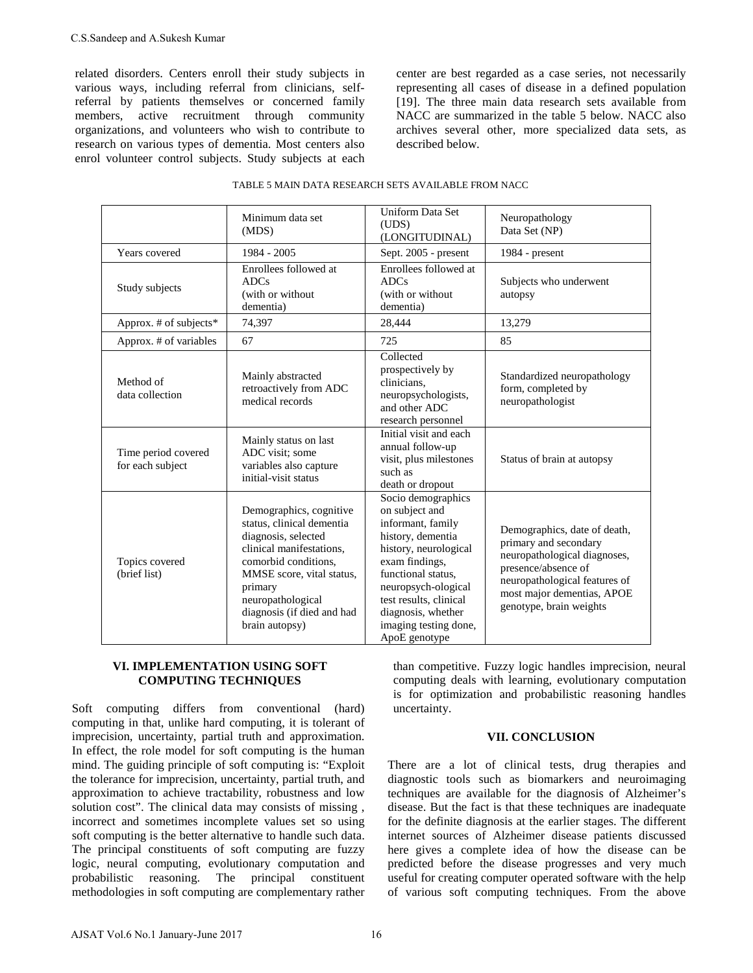center are best regarded as a case series, not necessarily representing all cases of disease in a defined population [19]. The three main data research sets available from NACC are summarized in the table 5 below. NACC also archives several other, more specialized data sets, as described below.

|               | C.S.Sandeep and A.Sukesh Kumar                               |                                                                                                                                                                                                                                                                                                                                                                                                                                                               |                                                                                                                                                                                                                                                                                                                                                                                                                                                                                                                                                                                                                                                                                                                                                                |                                                                                                                                                                                                        |  |  |  |
|---------------|--------------------------------------------------------------|---------------------------------------------------------------------------------------------------------------------------------------------------------------------------------------------------------------------------------------------------------------------------------------------------------------------------------------------------------------------------------------------------------------------------------------------------------------|----------------------------------------------------------------------------------------------------------------------------------------------------------------------------------------------------------------------------------------------------------------------------------------------------------------------------------------------------------------------------------------------------------------------------------------------------------------------------------------------------------------------------------------------------------------------------------------------------------------------------------------------------------------------------------------------------------------------------------------------------------------|--------------------------------------------------------------------------------------------------------------------------------------------------------------------------------------------------------|--|--|--|
| members,      | active recruitment                                           | related disorders. Centers enroll their study subjects in<br>various ways, including referral from clinicians, self-<br>referral by patients themselves or concerned family<br>through<br>community<br>organizations, and volunteers who wish to contribute to<br>research on various types of dementia. Most centers also<br>enrol volunteer control subjects. Study subjects at each                                                                        | center are best regarded as a case series, not nece<br>representing all cases of disease in a defined pop<br>[19]. The three main data research sets availabl<br>NACC are summarized in the table 5 below. NAC<br>archives several other, more specialized data s<br>described below.                                                                                                                                                                                                                                                                                                                                                                                                                                                                          |                                                                                                                                                                                                        |  |  |  |
|               |                                                              | TABLE 5 MAIN DATA RESEARCH SETS AVAILABLE FROM NACC                                                                                                                                                                                                                                                                                                                                                                                                           |                                                                                                                                                                                                                                                                                                                                                                                                                                                                                                                                                                                                                                                                                                                                                                |                                                                                                                                                                                                        |  |  |  |
|               |                                                              | Minimum data set<br>(MDS)                                                                                                                                                                                                                                                                                                                                                                                                                                     | Uniform Data Set<br>(UDS)<br>(LONGITUDINAL)                                                                                                                                                                                                                                                                                                                                                                                                                                                                                                                                                                                                                                                                                                                    | Neuropathology<br>Data Set (NP)                                                                                                                                                                        |  |  |  |
|               | Years covered                                                | 1984 - 2005                                                                                                                                                                                                                                                                                                                                                                                                                                                   | Sept. 2005 - present                                                                                                                                                                                                                                                                                                                                                                                                                                                                                                                                                                                                                                                                                                                                           | 1984 - present                                                                                                                                                                                         |  |  |  |
|               | Study subjects                                               | Enrollees followed at<br>ADCs<br>(with or without<br>dementia)                                                                                                                                                                                                                                                                                                                                                                                                | Enrollees followed at<br>ADCs<br>(with or without<br>dementia)                                                                                                                                                                                                                                                                                                                                                                                                                                                                                                                                                                                                                                                                                                 | Subjects who underwent<br>autopsy                                                                                                                                                                      |  |  |  |
|               | Approx. # of subjects*                                       | 74,397                                                                                                                                                                                                                                                                                                                                                                                                                                                        | 28,444                                                                                                                                                                                                                                                                                                                                                                                                                                                                                                                                                                                                                                                                                                                                                         | 13,279                                                                                                                                                                                                 |  |  |  |
|               | Approx. # of variables                                       | 67                                                                                                                                                                                                                                                                                                                                                                                                                                                            | 725                                                                                                                                                                                                                                                                                                                                                                                                                                                                                                                                                                                                                                                                                                                                                            | 85                                                                                                                                                                                                     |  |  |  |
|               | Method of<br>data collection                                 | Mainly abstracted<br>retroactively from ADC<br>medical records                                                                                                                                                                                                                                                                                                                                                                                                | Collected<br>prospectively by<br>clinicians,<br>neuropsychologists,<br>and other ADC                                                                                                                                                                                                                                                                                                                                                                                                                                                                                                                                                                                                                                                                           | Standardized neuropathology<br>form, completed by<br>neuropathologist                                                                                                                                  |  |  |  |
|               | Time period covered<br>for each subject                      | Mainly status on last<br>ADC visit; some<br>variables also capture<br>initial-visit status                                                                                                                                                                                                                                                                                                                                                                    | research personnel<br>Initial visit and each<br>annual follow-up<br>visit, plus milestones<br>such as<br>death or dropout                                                                                                                                                                                                                                                                                                                                                                                                                                                                                                                                                                                                                                      | Status of brain at autopsy                                                                                                                                                                             |  |  |  |
|               | Topics covered<br>(brief list)                               | Demographics, cognitive<br>status, clinical dementia<br>diagnosis, selected<br>clinical manifestations,<br>comorbid conditions,<br>MMSE score, vital status,<br>primary<br>neuropathological<br>diagnosis (if died and had<br>brain autopsy)                                                                                                                                                                                                                  | Socio demographics<br>on subject and<br>informant, family<br>history, dementia<br>history, neurological<br>exam findings,<br>functional status,<br>neuropsych-ological<br>test results, clinical<br>diagnosis, whether<br>imaging testing done,<br>ApoE genotype                                                                                                                                                                                                                                                                                                                                                                                                                                                                                               | Demographics, date of death,<br>primary and secondary<br>neuropathological diagnoses,<br>presence/absence of<br>neuropathological features of<br>most major dementias, APOE<br>genotype, brain weights |  |  |  |
|               | VI. IMPLEMENTATION USING SOFT<br><b>COMPUTING TECHNIQUES</b> |                                                                                                                                                                                                                                                                                                                                                                                                                                                               | than competitive. Fuzzy logic handles imprecision,<br>computing deals with learning, evolutionary comp<br>is for optimization and probabilistic reasoning 1<br>uncertainty.<br><b>VII. CONCLUSION</b><br>There are a lot of clinical tests, drug therapie<br>diagnostic tools such as biomarkers and neurois<br>techniques are available for the diagnosis of Alzh<br>disease. But the fact is that these techniques are inad<br>for the definite diagnosis at the earlier stages. The d<br>internet sources of Alzheimer disease patients dis<br>here gives a complete idea of how the disease<br>predicted before the disease progresses and very<br>useful for creating computer operated software with t<br>of various soft computing techniques. From the |                                                                                                                                                                                                        |  |  |  |
| Soft          | computing differs                                            | from<br>conventional<br>(hard)<br>computing in that, unlike hard computing, it is tolerant of<br>imprecision, uncertainty, partial truth and approximation.<br>In effect, the role model for soft computing is the human<br>mind. The guiding principle of soft computing is: "Exploit<br>the tolerance for imprecision, uncertainty, partial truth, and                                                                                                      |                                                                                                                                                                                                                                                                                                                                                                                                                                                                                                                                                                                                                                                                                                                                                                |                                                                                                                                                                                                        |  |  |  |
| probabilistic | The<br>reasoning.                                            | approximation to achieve tractability, robustness and low<br>solution cost". The clinical data may consists of missing,<br>incorrect and sometimes incomplete values set so using<br>soft computing is the better alternative to handle such data.<br>The principal constituents of soft computing are fuzzy<br>logic, neural computing, evolutionary computation and<br>principal<br>constituent<br>methodologies in soft computing are complementary rather |                                                                                                                                                                                                                                                                                                                                                                                                                                                                                                                                                                                                                                                                                                                                                                |                                                                                                                                                                                                        |  |  |  |
|               | AJSAT Vol.6 No.1 January-June 2017                           |                                                                                                                                                                                                                                                                                                                                                                                                                                                               | 16                                                                                                                                                                                                                                                                                                                                                                                                                                                                                                                                                                                                                                                                                                                                                             |                                                                                                                                                                                                        |  |  |  |

#### TABLE 5 MAIN DATA RESEARCH SETS AVAILABLE FROM NACC

#### **VI. IMPLEMENTATION USING SOFT COMPUTING TECHNIQUES**

than competitive. Fuzzy logic handles imprecision, neural computing deals with learning, evolutionary computation is for optimization and probabilistic reasoning handles uncertainty.

#### **VII. CONCLUSION**

There are a lot of clinical tests, drug therapies and diagnostic tools such as biomarkers and neuroimaging techniques are available for the diagnosis of Alzheimer's disease. But the fact is that these techniques are inadequate for the definite diagnosis at the earlier stages. The different internet sources of Alzheimer disease patients discussed here gives a complete idea of how the disease can be predicted before the disease progresses and very much useful for creating computer operated software with the help of various soft computing techniques. From the above